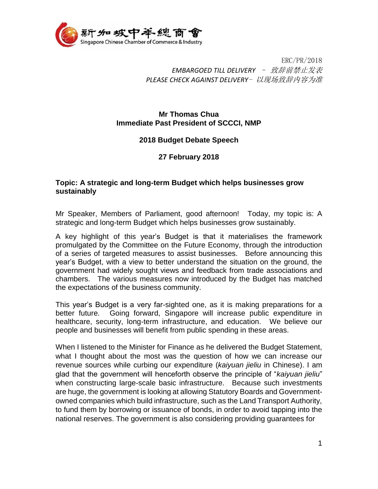

ERC/PR/2018 *EMBARGOED TILL DELIVERY* – 致辞前禁止发表 *PLEASE CHECK AGAINST DELIVERY*- 以现场致辞内容为准

## **Mr Thomas Chua Immediate Past President of SCCCI, NMP**

## **2018 Budget Debate Speech**

## **27 February 2018**

## **Topic: A strategic and long-term Budget which helps businesses grow sustainably**

Mr Speaker, Members of Parliament, good afternoon! Today, my topic is: A strategic and long-term Budget which helps businesses grow sustainably.

A key highlight of this year's Budget is that it materialises the framework promulgated by the Committee on the Future Economy, through the introduction of a series of targeted measures to assist businesses. Before announcing this year's Budget, with a view to better understand the situation on the ground, the government had widely sought views and feedback from trade associations and chambers. The various measures now introduced by the Budget has matched the expectations of the business community.

This year's Budget is a very far-sighted one, as it is making preparations for a better future. Going forward, Singapore will increase public expenditure in healthcare, security, long-term infrastructure, and education. We believe our people and businesses will benefit from public spending in these areas.

When I listened to the Minister for Finance as he delivered the Budget Statement, what I thought about the most was the question of how we can increase our revenue sources while curbing our expenditure (*kaiyuan jieliu* in Chinese). I am glad that the government will henceforth observe the principle of "*kaiyuan jieliu*" when constructing large-scale basic infrastructure. Because such investments are huge, the government is looking at allowing Statutory Boards and Governmentowned companies which build infrastructure, such as the Land Transport Authority, to fund them by borrowing or issuance of bonds, in order to avoid tapping into the national reserves. The government is also considering providing guarantees for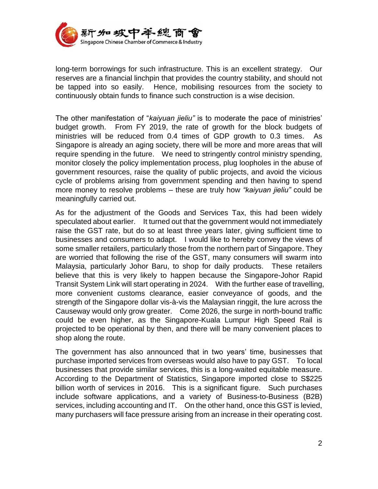

long-term borrowings for such infrastructure. This is an excellent strategy. Our reserves are a financial linchpin that provides the country stability, and should not be tapped into so easily. Hence, mobilising resources from the society to continuously obtain funds to finance such construction is a wise decision.

The other manifestation of "*kaiyuan jieliu"* is to moderate the pace of ministries' budget growth. From FY 2019, the rate of growth for the block budgets of ministries will be reduced from 0.4 times of GDP growth to 0.3 times. As Singapore is already an aging society, there will be more and more areas that will require spending in the future. We need to stringently control ministry spending, monitor closely the policy implementation process, plug loopholes in the abuse of government resources, raise the quality of public projects, and avoid the vicious cycle of problems arising from government spending and then having to spend more money to resolve problems – these are truly how *"kaiyuan jieliu"* could be meaningfully carried out.

As for the adjustment of the Goods and Services Tax, this had been widely speculated about earlier. It turned out that the government would not immediately raise the GST rate, but do so at least three years later, giving sufficient time to businesses and consumers to adapt. I would like to hereby convey the views of some smaller retailers, particularly those from the northern part of Singapore. They are worried that following the rise of the GST, many consumers will swarm into Malaysia, particularly Johor Baru, to shop for daily products. These retailers believe that this is very likely to happen because the Singapore-Johor Rapid Transit System Link will start operating in 2024. With the further ease of travelling, more convenient customs clearance, easier conveyance of goods, and the strength of the Singapore dollar vis-à-vis the Malaysian ringgit, the lure across the Causeway would only grow greater. Come 2026, the surge in north-bound traffic could be even higher, as the Singapore-Kuala Lumpur High Speed Rail is projected to be operational by then, and there will be many convenient places to shop along the route.

The government has also announced that in two years' time, businesses that purchase imported services from overseas would also have to pay GST. To local businesses that provide similar services, this is a long-waited equitable measure. According to the Department of Statistics, Singapore imported close to S\$225 billion worth of services in 2016. This is a significant figure. Such purchases include software applications, and a variety of Business-to-Business (B2B) services, including accounting and IT. On the other hand, once this GST is levied, many purchasers will face pressure arising from an increase in their operating cost.